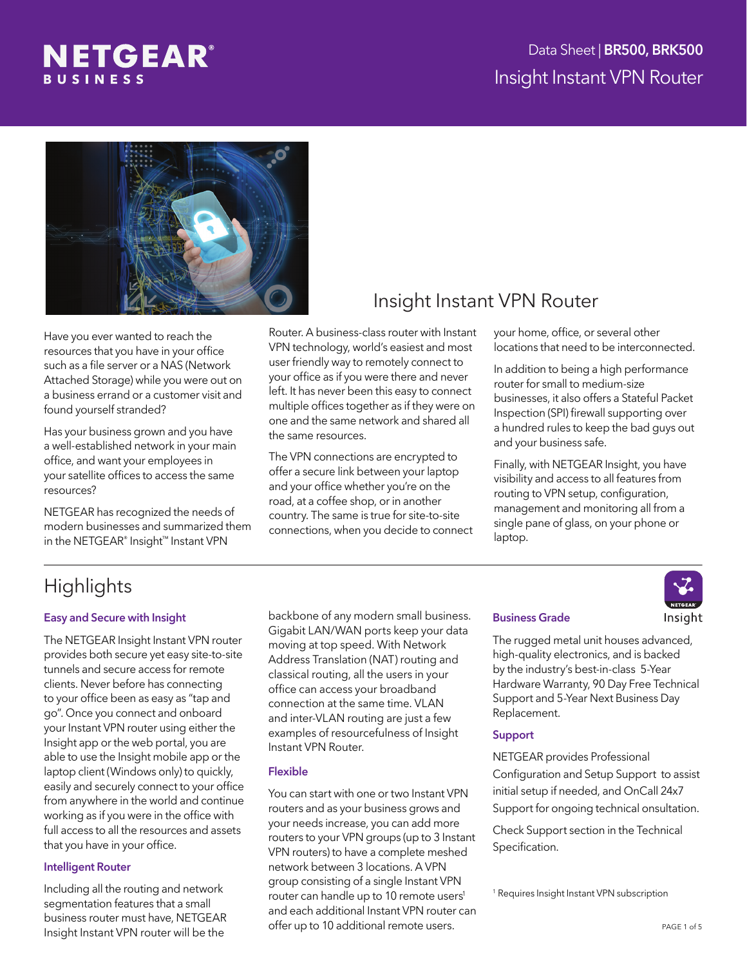



Have you ever wanted to reach the resources that you have in your office such as a file server or a NAS (Network Attached Storage) while you were out on a business errand or a customer visit and found yourself stranded?

Has your business grown and you have a well-established network in your main office, and want your employees in your satellite offices to access the same resources?

NETGEAR has recognized the needs of modern businesses and summarized them in the NETGEAR® Insight™ Instant VPN

## Insight Instant VPN Router

Router. A business-class router with Instant VPN technology, world's easiest and most user friendly way to remotely connect to your office as if you were there and never left. It has never been this easy to connect multiple offices together as if they were on one and the same network and shared all the same resources.

The VPN connections are encrypted to offer a secure link between your laptop and your office whether you're on the road, at a coffee shop, or in another country. The same is true for site-to-site connections, when you decide to connect

### your home, office, or several other locations that need to be interconnected.

In addition to being a high performance router for small to medium-size businesses, it also offers a Stateful Packet Inspection (SPI) firewall supporting over a hundred rules to keep the bad guys out and your business safe.

Finally, with NETGEAR Insight, you have visibility and access to all features from routing to VPN setup, configuration, management and monitoring all from a single pane of glass, on your phone or laptop.

# **Highlights**

## Easy and Secure with Insight

The NETGEAR Insight Instant VPN router provides both secure yet easy site-to-site tunnels and secure access for remote clients. Never before has connecting to your office been as easy as "tap and go". Once you connect and onboard your Instant VPN router using either the Insight app or the web portal, you are able to use the Insight mobile app or the laptop client (Windows only) to quickly, easily and securely connect to your office from anywhere in the world and continue working as if you were in the office with full access to all the resources and assets that you have in your office.

#### Intelligent Router

Including all the routing and network segmentation features that a small business router must have, NETGEAR Insight Instant VPN router will be the

backbone of any modern small business. Gigabit LAN/WAN ports keep your data moving at top speed. With Network Address Translation (NAT) routing and classical routing, all the users in your office can access your broadband connection at the same time. VLAN and inter-VLAN routing are just a few examples of resourcefulness of Insight Instant VPN Router.

## Flexible

You can start with one or two Instant VPN routers and as your business grows and your needs increase, you can add more routers to your VPN groups (up to 3 Instant VPN routers) to have a complete meshed network between 3 locations. A VPN group consisting of a single Instant VPN router can handle up to 10 remote users<sup>1</sup> and each additional Instant VPN router can offer up to 10 additional remote users.

#### Business Grade

The rugged metal unit houses advanced, high-quality electronics, and is backed by the industry's best-in-class 5-Year Hardware Warranty, 90 Day Free Technical Support and 5-Year Next Business Day Replacement.

## Support

NETGEAR provides Professional Configuration and Setup Support to assist initial setup if needed, and OnCall 24x7 Support for ongoing technical onsultation.

Check Support section in the Technical Specification.

1 Requires Insight Instant VPN subscription

Insight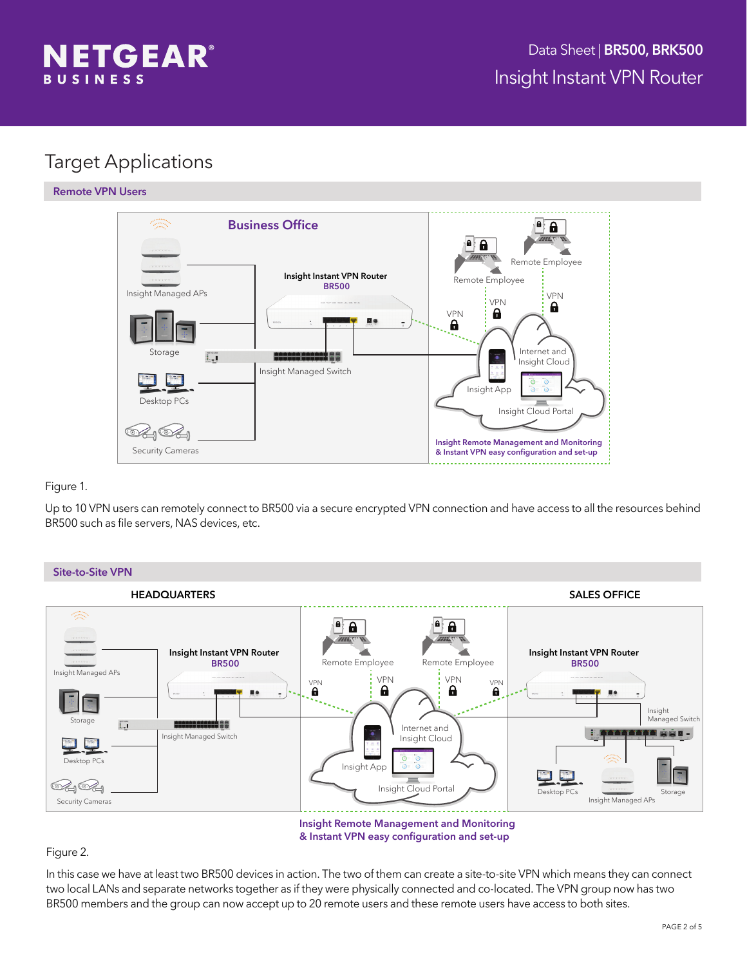

## Target Applications

### Remote VPN Users



### Figure 1.

Up to 10 VPN users can remotely connect to BR500 via a secure encrypted VPN connection and have access to all the resources behind BR500 such as file servers, NAS devices, etc.



Insight Remote Management and Monitoring & Instant VPN easy configuration and set-up

## Figure 2.

In this case we have at least two BR500 devices in action. The two of them can create a site-to-site VPN which means they can connect two local LANs and separate networks together as if they were physically connected and co-located. The VPN group now has two BR500 members and the group can now accept up to 20 remote users and these remote users have access to both sites.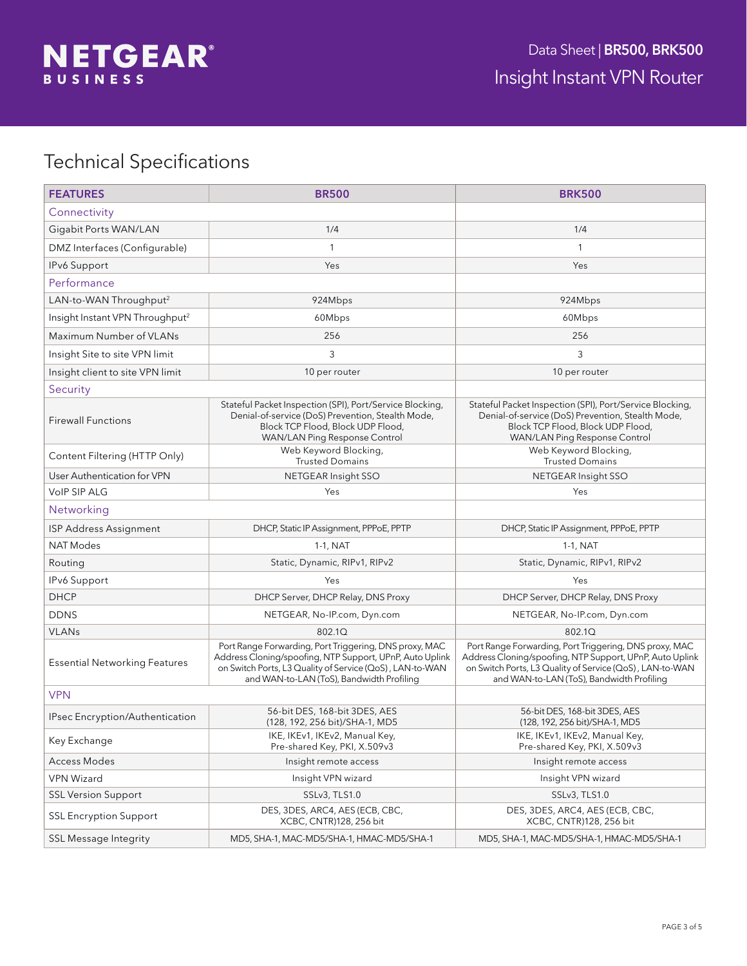# Technical Specifications

| <b>FEATURES</b>                             | <b>BR500</b>                                                                                                                                                                                                                | <b>BRK500</b>                                                                                                                                                                                                               |  |  |
|---------------------------------------------|-----------------------------------------------------------------------------------------------------------------------------------------------------------------------------------------------------------------------------|-----------------------------------------------------------------------------------------------------------------------------------------------------------------------------------------------------------------------------|--|--|
| Connectivity                                |                                                                                                                                                                                                                             |                                                                                                                                                                                                                             |  |  |
| Gigabit Ports WAN/LAN                       | 1/4                                                                                                                                                                                                                         | 1/4                                                                                                                                                                                                                         |  |  |
| DMZ Interfaces (Configurable)               | $\mathbf{1}$                                                                                                                                                                                                                | 1                                                                                                                                                                                                                           |  |  |
| IPv6 Support                                | Yes                                                                                                                                                                                                                         | Yes                                                                                                                                                                                                                         |  |  |
| Performance                                 |                                                                                                                                                                                                                             |                                                                                                                                                                                                                             |  |  |
| LAN-to-WAN Throughput <sup>2</sup>          | 924Mbps                                                                                                                                                                                                                     | 924Mbps                                                                                                                                                                                                                     |  |  |
| Insight Instant VPN Throughput <sup>2</sup> | 60Mbps                                                                                                                                                                                                                      | 60Mbps                                                                                                                                                                                                                      |  |  |
| Maximum Number of VLANs                     | 256                                                                                                                                                                                                                         | 256                                                                                                                                                                                                                         |  |  |
| Insight Site to site VPN limit              | 3                                                                                                                                                                                                                           | 3                                                                                                                                                                                                                           |  |  |
| Insight client to site VPN limit            | 10 per router                                                                                                                                                                                                               | 10 per router                                                                                                                                                                                                               |  |  |
| Security                                    |                                                                                                                                                                                                                             |                                                                                                                                                                                                                             |  |  |
| <b>Firewall Functions</b>                   | Stateful Packet Inspection (SPI), Port/Service Blocking,<br>Denial-of-service (DoS) Prevention, Stealth Mode,<br>Block TCP Flood, Block UDP Flood,<br>WAN/LAN Ping Response Control                                         | Stateful Packet Inspection (SPI), Port/Service Blocking,<br>Denial-of-service (DoS) Prevention, Stealth Mode,<br>Block TCP Flood, Block UDP Flood,<br>WAN/LAN Ping Response Control                                         |  |  |
| Content Filtering (HTTP Only)               | Web Keyword Blocking,<br><b>Trusted Domains</b>                                                                                                                                                                             | Web Keyword Blocking,<br><b>Trusted Domains</b>                                                                                                                                                                             |  |  |
| User Authentication for VPN                 | NETGEAR Insight SSO                                                                                                                                                                                                         | NETGEAR Insight SSO                                                                                                                                                                                                         |  |  |
| <b>VoIP SIP ALG</b>                         | Yes                                                                                                                                                                                                                         | Yes                                                                                                                                                                                                                         |  |  |
| Networking                                  |                                                                                                                                                                                                                             |                                                                                                                                                                                                                             |  |  |
| ISP Address Assignment                      | DHCP, Static IP Assignment, PPPoE, PPTP                                                                                                                                                                                     | DHCP, Static IP Assignment, PPPoE, PPTP                                                                                                                                                                                     |  |  |
| <b>NAT Modes</b>                            | $1-1$ , NAT                                                                                                                                                                                                                 | $1-1$ , NAT                                                                                                                                                                                                                 |  |  |
| Routing                                     | Static, Dynamic, RIPv1, RIPv2                                                                                                                                                                                               | Static, Dynamic, RIPv1, RIPv2                                                                                                                                                                                               |  |  |
| IPv6 Support                                | Yes                                                                                                                                                                                                                         | Yes                                                                                                                                                                                                                         |  |  |
| <b>DHCP</b>                                 | DHCP Server, DHCP Relay, DNS Proxy                                                                                                                                                                                          | DHCP Server, DHCP Relay, DNS Proxy                                                                                                                                                                                          |  |  |
| <b>DDNS</b>                                 | NETGEAR, No-IP.com, Dyn.com                                                                                                                                                                                                 | NETGEAR, No-IP.com, Dyn.com                                                                                                                                                                                                 |  |  |
| <b>VLANs</b>                                | 802.1Q                                                                                                                                                                                                                      | 802.1Q                                                                                                                                                                                                                      |  |  |
| <b>Essential Networking Features</b>        | Port Range Forwarding, Port Triggering, DNS proxy, MAC<br>Address Cloning/spoofing, NTP Support, UPnP, Auto Uplink<br>on Switch Ports, L3 Quality of Service (QoS), LAN-to-WAN<br>and WAN-to-LAN (ToS), Bandwidth Profiling | Port Range Forwarding, Port Triggering, DNS proxy, MAC<br>Address Cloning/spoofing, NTP Support, UPnP, Auto Uplink<br>on Switch Ports, L3 Quality of Service (QoS), LAN-to-WAN<br>and WAN-to-LAN (ToS), Bandwidth Profiling |  |  |
| <b>VPN</b>                                  |                                                                                                                                                                                                                             |                                                                                                                                                                                                                             |  |  |
| IPsec Encryption/Authentication             | 56-bit DES, 168-bit 3DES, AES<br>(128, 192, 256 bit)/SHA-1, MD5                                                                                                                                                             | 56-bit DES, 168-bit 3DES, AES<br>(128, 192, 256 bit)/SHA-1, MD5                                                                                                                                                             |  |  |
| Key Exchange                                | IKE, IKEv1, IKEv2, Manual Key,<br>Pre-shared Key, PKI, X.509v3                                                                                                                                                              | IKE, IKEv1, IKEv2, Manual Key,<br>Pre-shared Key, PKI, X.509v3                                                                                                                                                              |  |  |
| <b>Access Modes</b>                         | Insight remote access                                                                                                                                                                                                       | Insight remote access                                                                                                                                                                                                       |  |  |
| <b>VPN Wizard</b>                           | Insight VPN wizard                                                                                                                                                                                                          | Insight VPN wizard                                                                                                                                                                                                          |  |  |
| <b>SSL Version Support</b>                  | SSLv3, TLS1.0                                                                                                                                                                                                               | SSLv3, TLS1.0                                                                                                                                                                                                               |  |  |
| <b>SSL Encryption Support</b>               | DES, 3DES, ARC4, AES (ECB, CBC,<br>XCBC, CNTR)128, 256 bit                                                                                                                                                                  | DES, 3DES, ARC4, AES (ECB, CBC,<br>XCBC, CNTR)128, 256 bit                                                                                                                                                                  |  |  |
| <b>SSL Message Integrity</b>                | MD5, SHA-1, MAC-MD5/SHA-1, HMAC-MD5/SHA-1                                                                                                                                                                                   | MD5, SHA-1, MAC-MD5/SHA-1, HMAC-MD5/SHA-1                                                                                                                                                                                   |  |  |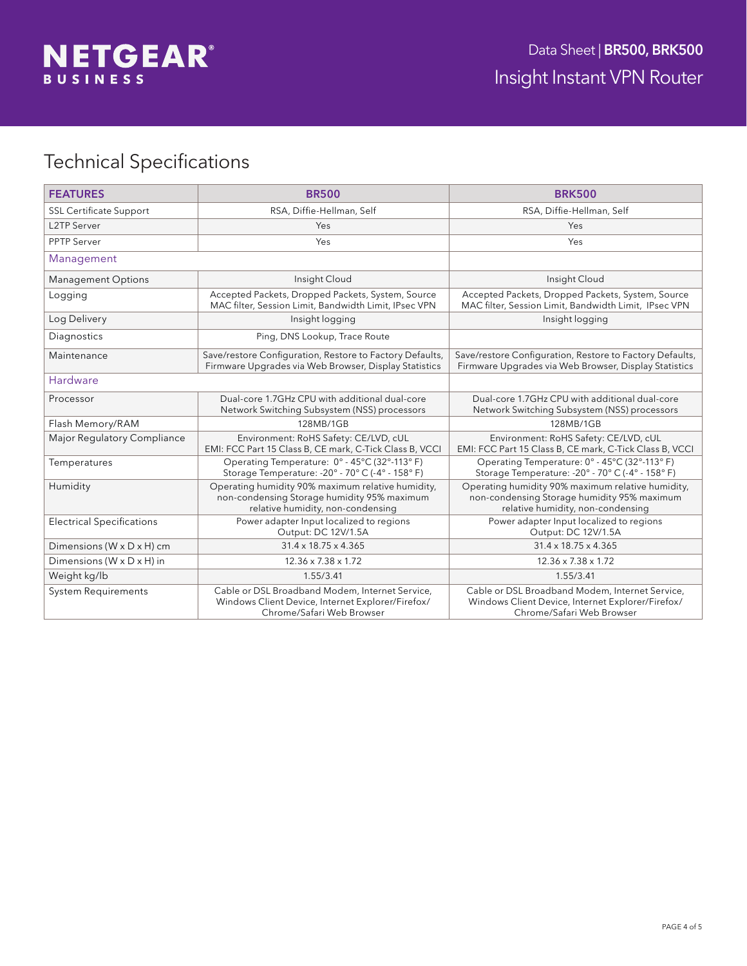

# Technical Specifications

| <b>FEATURES</b>                         | <b>BR500</b>                                                                                                                          | <b>BRK500</b>                                                                                                                         |
|-----------------------------------------|---------------------------------------------------------------------------------------------------------------------------------------|---------------------------------------------------------------------------------------------------------------------------------------|
| <b>SSL Certificate Support</b>          | RSA, Diffie-Hellman, Self                                                                                                             | RSA, Diffie-Hellman, Self                                                                                                             |
| <b>L2TP Server</b>                      | Yes                                                                                                                                   | Yes                                                                                                                                   |
| <b>PPTP Server</b>                      | Yes                                                                                                                                   | Yes                                                                                                                                   |
| Management                              |                                                                                                                                       |                                                                                                                                       |
| <b>Management Options</b>               | Insight Cloud                                                                                                                         | Insight Cloud                                                                                                                         |
| Logging                                 | Accepted Packets, Dropped Packets, System, Source<br>MAC filter, Session Limit, Bandwidth Limit, IPsec VPN                            | Accepted Packets, Dropped Packets, System, Source<br>MAC filter, Session Limit, Bandwidth Limit, IPsec VPN                            |
| Log Delivery                            | Insight logging                                                                                                                       | Insight logging                                                                                                                       |
| Diagnostics                             | Ping, DNS Lookup, Trace Route                                                                                                         |                                                                                                                                       |
| Maintenance                             | Save/restore Configuration, Restore to Factory Defaults,<br>Firmware Upgrades via Web Browser, Display Statistics                     | Save/restore Configuration, Restore to Factory Defaults,<br>Firmware Upgrades via Web Browser, Display Statistics                     |
| Hardware                                |                                                                                                                                       |                                                                                                                                       |
| Processor                               | Dual-core 1.7GHz CPU with additional dual-core<br>Network Switching Subsystem (NSS) processors                                        | Dual-core 1.7GHz CPU with additional dual-core<br>Network Switching Subsystem (NSS) processors                                        |
| Flash Memory/RAM                        | 128MB/1GB                                                                                                                             | 128MB/1GB                                                                                                                             |
| Major Regulatory Compliance             | Environment: RoHS Safety: CE/LVD, cUL<br>EMI: FCC Part 15 Class B, CE mark, C-Tick Class B, VCCI                                      | Environment: RoHS Safety: CE/LVD, cUL<br>EMI: FCC Part 15 Class B, CE mark, C-Tick Class B, VCCI                                      |
| Temperatures                            | Operating Temperature: 0° - 45°C (32°-113°F)<br>Storage Temperature: - 20° - 70° C (-4° - 158° F)                                     | Operating Temperature: 0° - 45°C (32°-113° F)<br>Storage Temperature: -20° - 70° C (-4° - 158° F)                                     |
| Humidity                                | Operating humidity 90% maximum relative humidity,<br>non-condensing Storage humidity 95% maximum<br>relative humidity, non-condensing | Operating humidity 90% maximum relative humidity,<br>non-condensing Storage humidity 95% maximum<br>relative humidity, non-condensing |
| <b>Electrical Specifications</b>        | Power adapter Input localized to regions<br>Output: DC 12V/1.5A                                                                       | Power adapter Input localized to regions<br>Output: DC 12V/1.5A                                                                       |
| Dimensions (W x D x H) cm               | $31.4 \times 18.75 \times 4.365$                                                                                                      | $31.4 \times 18.75 \times 4.365$                                                                                                      |
| Dimensions ( $W \times D \times H$ ) in | $12.36 \times 7.38 \times 1.72$                                                                                                       | $12.36 \times 7.38 \times 1.72$                                                                                                       |
| Weight kg/lb                            | 1.55/3.41                                                                                                                             | 1.55/3.41                                                                                                                             |
| <b>System Requirements</b>              | Cable or DSL Broadband Modem, Internet Service,<br>Windows Client Device, Internet Explorer/Firefox/<br>Chrome/Safari Web Browser     | Cable or DSL Broadband Modem, Internet Service,<br>Windows Client Device, Internet Explorer/Firefox/<br>Chrome/Safari Web Browser     |